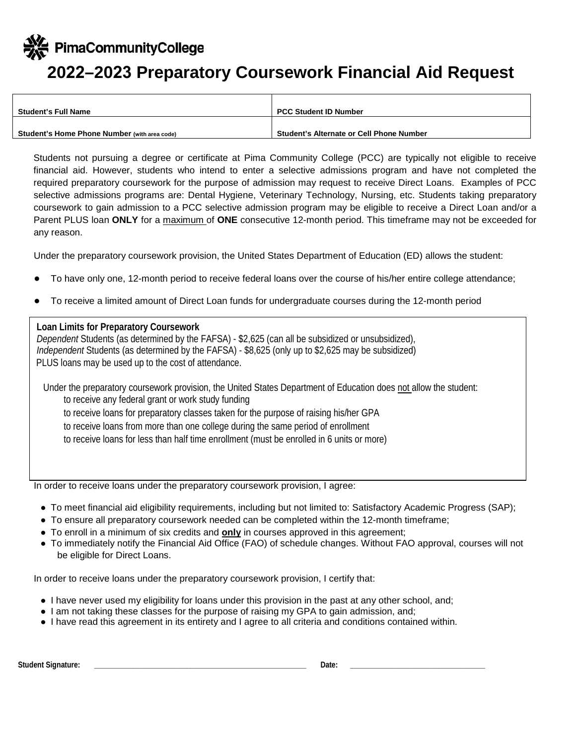PimaCommunityCollege

## **2022–2023 Preparatory Coursework Financial Aid Request**

| <b>Student's Full Name</b>                   | <b>PCC Student ID Number</b>                    |
|----------------------------------------------|-------------------------------------------------|
|                                              |                                                 |
| Student's Home Phone Number (with area code) | <b>Student's Alternate or Cell Phone Number</b> |

Students not pursuing a degree or certificate at Pima Community College (PCC) are typically not eligible to receive financial aid. However, students who intend to enter a selective admissions program and have not completed the required preparatory coursework for the purpose of admission may request to receive Direct Loans. Examples of PCC selective admissions programs are: Dental Hygiene, Veterinary Technology, Nursing, etc. Students taking preparatory coursework to gain admission to a PCC selective admission program may be eligible to receive a Direct Loan and/or a Parent PLUS loan **ONLY** for a maximum of **ONE** consecutive 12-month period. This timeframe may not be exceeded for any reason.

Under the preparatory coursework provision, the United States Department of Education (ED) allows the student:

- To have only one, 12-month period to receive federal loans over the course of his/her entire college attendance;
- To receive a limited amount of Direct Loan funds for undergraduate courses during the 12-month period

## **Loan Limits for Preparatory Coursework**

*Dependent* Students (as determined by the FAFSA) - \$2,625 (can all be subsidized or unsubsidized), *Independent* Students (as determined by the FAFSA) - \$8,625 (only up to \$2,625 may be subsidized) PLUS loans may be used up to the cost of attendance.

Under the preparatory coursework provision, the United States Department of Education does not allow the student: to receive any federal grant or work study funding to receive loans for preparatory classes taken for the purpose of raising his/her GPA to receive loans from more than one college during the same period of enrollment to receive loans for less than half time enrollment (must be enrolled in 6 units or more)

In order to receive loans under the preparatory coursework provision, I agree:

- To meet financial aid eligibility requirements, including but not limited to: Satisfactory Academic Progress (SAP);
- To ensure all preparatory coursework needed can be completed within the 12-month timeframe;
- To enroll in a minimum of six credits and **only** in courses approved in this agreement;
- To immediately notify the Financial Aid Office (FAO) of schedule changes. Without FAO approval, courses will not be eligible for Direct Loans.

In order to receive loans under the preparatory coursework provision, I certify that:

- I have never used my eligibility for loans under this provision in the past at any other school, and;
- I am not taking these classes for the purpose of raising my GPA to gain admission, and;
- I have read this agreement in its entirety and I agree to all criteria and conditions contained within.

Student Signature: **Example 2018** and 2019 and 2019 and 2019 and 2019 and 2019 and 2019 and 2019 and 2019 and 2019 and 2019 and 2019 and 2019 and 2019 and 2019 and 2019 and 2019 and 2019 and 2019 and 2019 and 2019 and 2019